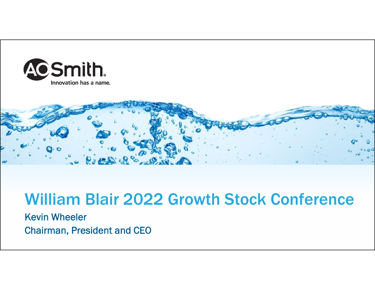



# William Blair 2022 Growth Stock Conference

Kevin Wheeler Chairman, President and CEO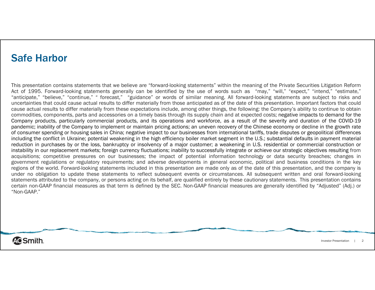### Safe Harbor

This presentation contains statements that we believe are "forward-looking statements" within the meaning of the Private Securities Litigation Reform Act of 1995. Forward-looking statements generally can be identified by the use of words such as "may," "will," "expect," "intend," "estimate," "anticipate," "believe," "continue," " forecast," "guidance" or words of similar meaning. All forward-looking statements are subject to risks and uncertainties that could cause actual results to differ materially from those anticipated as of the date of this presentation. Important factors that could cause actual results to differ materially from these expectations include, among other things, the following: the Company's ability to continue to obtain commodities, components, parts and accessories on <sup>a</sup> timely basis through its supply chain and at expected costs; negative impacts to demand for the Company products, particularly commercial products, and its operations and workforce, as <sup>a</sup> result of the severity and duration of the COVID-19 pandemic; inability of the Company to implement or maintain pricing actions; an uneven recovery of the Chinese economy or decline in the growth rate of consumer spending or housing sales in China; negative impact to our businesses from international tariffs, trade disputes or geopolitical differences including the conflict in Ukraine; potential weakening in the high efficiency boiler market segment in the U.S.; substantial defaults in payment material reduction in purchases by or the loss, bankruptcy or insolvency of <sup>a</sup> major customer; <sup>a</sup> weakening in U.S. residential or commercial construction or instability in our replacement markets; foreign currency fluctuations; inability to successfully integrate or achieve our strategic objectives resulting from acquisitions; competitive pressures on our businesses; the impact of potential information technology or data security breaches; changes in government regulations or regulatory requirements; and adverse developments in general economic, political and business conditions in the key regions of the world. Forward-looking statements included in this presentation are made only as of the date of this presentation, and the company is under no obligation to update these statements to reflect subsequent events or circumstances. All subsequent written and oral forward-looking statements attributed to the company, or persons acting on its behalf, are qualified entirely by these cautionary statements. This presentation contains certain non-GAAP financial measures as that term is defined by the SEC. Non-GAAP financial measures are generally identified by "Adjusted" (Adj.) or "Non-GAAP."

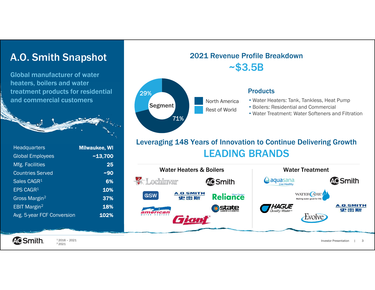## A.O. Smith Snapshot

Global manufacturer of water heaters, boilers and water treatment products for residential and commercial customers

| <b>Headquarters</b>        | <b>Milwaukee, WI</b> |
|----------------------------|----------------------|
| <b>Global Employees</b>    | ~13,700              |
| Mfg. Facilities            | 25                   |
| <b>Countries Served</b>    | $-90$                |
| Sales CAGR <sup>1</sup>    | 6%                   |
| EPS CAGR <sup>1</sup>      | 10%                  |
| Gross Margin <sup>2</sup>  | 37%                  |
| EBIT Margin <sup>2</sup>   | 18%                  |
| Avg. 5-year FCF Conversion | 102%                 |
|                            |                      |



### Leveraging 148 Years of Innovation to Continue Delivering Growth LEADING BRANDS





 $12016 - 2021$ 2 2021

Investor Presentation | 3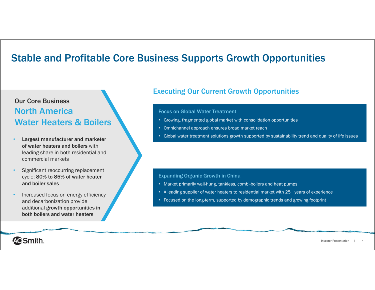## Stable and Profitable Core Business Supports Growth Opportunities

### Our Core BusinessNorth AmericaWater Heaters & Boilers

- • Largest manufacturer and marketer of water heaters and boilers with leading share in both residential and commercial markets
- • Significant reoccurring replacement cycle: 80% to 85% of water heater and boiler sales
- • Increased focus on energy efficiency and decarbonization provide additional growth opportunities in both boilers and water heaters

### Executing Our Current Growth Opportunities

#### Focus on Global Water Treatment

- Growing, fragmented global market with consolidation opportunities
- Omnichannel approach ensures broad market reach
- Global water treatment solutions growth supported by sustainability trend and quality of life issues

#### Expanding Organic Growth in China

- Market primarily wall-hung, tankless, combi-boilers and heat pumps
- A leading supplier of water heaters to residential market with 25+ years of experience
- Focused on the long-term, supported by demographic trends and growing footprint

**ACSmith.** 

Investor Presentation | 4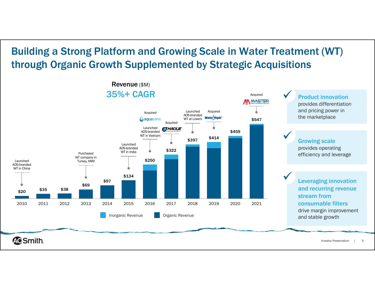# Building a Strong Platform and Growing Scale in Water Treatment (WT) through Organic Growth Supplemented by Strategic Acquisitions

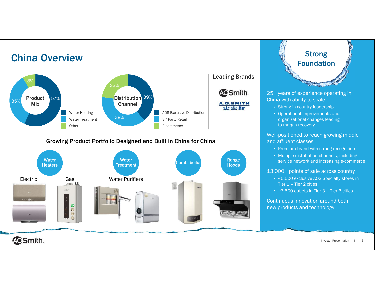

China Overview

#### Growing Product Portfolio Designed and Built in China for China





25+ years of experience operating in China with ability to scale

- Strong in-country leadership
- Operational improvements and organizational changes leading to margin recovery

Well-positioned to reach growing middle and affluent classes

- Premium brand with strong recognition
- Multiple distribution channels, including service network and increasing e-commerce

13,000+ points of sale across country

- ~5,500 exclusive AOS Specialty stores in Tier 1 – Tier 2 cities
- ~7,500 outlets in Tier 3 Tier 6 cities

Continuous innovation around both new products and technology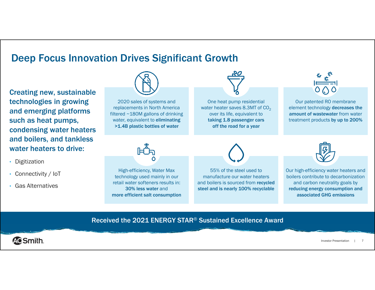### Deep Focus Innovation Drives Significant Growth

Creating new, sustainable technologies in growing and emerging platforms such as heat pumps, condensing water heaters and boilers, and tankless water heaters to drive:

- Digitization
- Connectivity / IoT
- Gas Alternatives



2020 sales of systems and replacements in North America filtered ~180M gallons of drinking water, equivalent to **eliminating** >1.4B plastic bottles of water





Our patented RO membrane element technology decreases the amount of wastewater from water treatment products by up to 200%



High-efficiency, Water Max technology used mainly in our retail water softeners results in: 30% less water and more efficient salt consumption

55% of the steel used to manufacture our water heaters and boilers is sourced from recycled steel and is nearly 100% recyclable



Our high-efficiency water heaters and boilers contribute to decarbonization and carbon neutrality goals by reducing energy consumption and associated GHG emissions

#### Received the 2021 ENERGY STAR® Sustained Excellence Award



Investor Presentation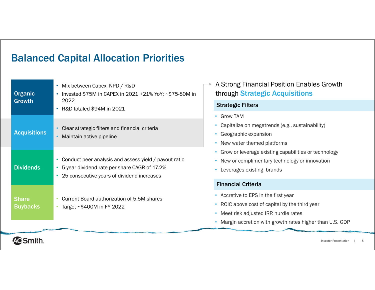# Balanced Capital Allocation Priorities

| <b>Organic</b><br>Growth        | Mix between Capex, NPD / R&D<br>Invested \$75M in CAPEX in 2021 +21% YoY; ~\$75-80M in<br>۰<br>2022<br>R&D totaled \$94M in 2021<br>۰                              |
|---------------------------------|--------------------------------------------------------------------------------------------------------------------------------------------------------------------|
| <b>Acquisitions</b>             | Clear strategic filters and financial criteria<br>Maintain active pipeline<br>$\bullet$                                                                            |
| <b>Dividends</b>                | Conduct peer analysis and assess yield / payout ratio<br>٠<br>5-year dividend rate per share CAGR of 17.2%<br>٠<br>25 consecutive years of dividend increases<br>٠ |
| <b>Share</b><br><b>Buybacks</b> | Current Board authorization of 5.5M shares<br>Target $\sim$ \$400M in FY 2022<br>۰                                                                                 |

A Strong Financial Position Enables Growth through Strategic Acquisitions

#### Strategic Filters

- Grow TAM
- Capitalize on megatrends (e.g., sustainability)
- Geographic expansion
- New water themed platforms
- Grow or leverage existing capabilities or technology
- New or complimentary technology or innovation
- Leverages existing brands

#### Financial Criteria

- Accretive to EPS in the first year
- ROIC above cost of capital by the third year
- Meet risk adjusted IRR hurdle rates
- Margin accretion with growth rates higher than U.S. GDP

**ACSmith.**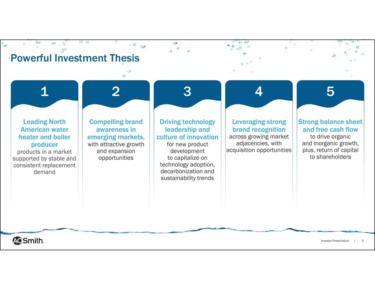